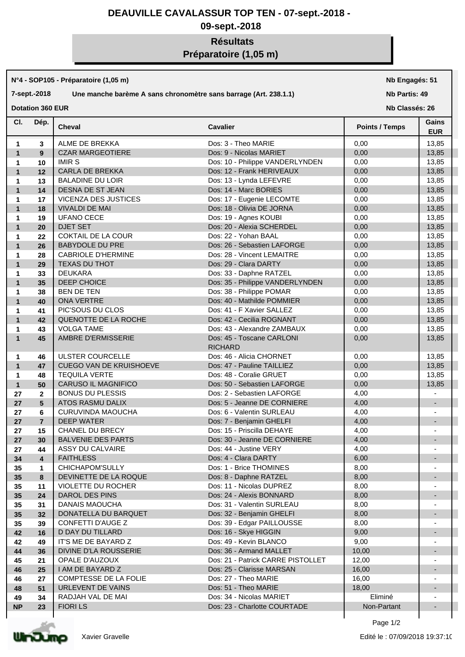### **DEAUVILLE CAVALASSUR TOP TEN - 07-sept.-2018 -**

## **09-sept.-2018**

# **Résultats Préparatoire (1,05 m)**

#### **N°4 - SOP105 - Préparatoire (1,05 m)**

### **7-sept.-2018 Une manche barème A sans chronomètre sans barrage (Art. 238.1.1)**

**Nb Engagés: 51**

#### **Nb Partis: 49**

**Dotation 360 EUR** 

**Nb Classés: 26** 

| CI.               | Dép.                    | <b>Cheval</b>                  | <b>Cavalier</b>                             | <b>Points / Temps</b> | Gains<br><b>EUR</b>      |
|-------------------|-------------------------|--------------------------------|---------------------------------------------|-----------------------|--------------------------|
| 1                 | 3                       | ALME DE BREKKA                 | Dos: 3 - Theo MARIE                         | 0,00                  | 13,85                    |
| $\mathbf{1}$      | $9^{\circ}$             | <b>CZAR MARGEOTIERE</b>        | Dos: 9 - Nicolas MARIET                     | 0,00                  | 13,85                    |
| 1                 | 10                      | <b>IMIR S</b>                  | Dos: 10 - Philippe VANDERLYNDEN             | 0,00                  | 13,85                    |
| $\mathbf{1}$      | 12                      | CARLA DE BREKKA                | Dos: 12 - Frank HERIVEAUX                   | 0,00                  | 13,85                    |
| 1                 | 13                      | <b>BALADINE DU LOIR</b>        | Dos: 13 - Lynda LEFEVRE                     | 0,00                  | 13,85                    |
| $\mathbf{1}$      | 14                      | DESNA DE ST JEAN               | Dos: 14 - Marc BORIES                       | 0,00                  | 13,85                    |
| 1                 | 17                      | VICENZA DES JUSTICES           | Dos: 17 - Eugenie LECOMTE                   | 0,00                  | 13,85                    |
| $\mathbf{1}$      | 18                      | <b>VIVALDI DE MAI</b>          | Dos: 18 - Olivia DE JORNA                   | 0,00                  | 13,85                    |
| 1                 | 19                      | <b>UFANO CECE</b>              | Dos: 19 - Agnes KOUBI                       | 0,00                  | 13,85                    |
| $\mathbf{1}$      | 20                      | DJET SET                       | Dos: 20 - Alexia SCHERDEL                   | 0,00                  | 13,85                    |
|                   | 22                      | <b>COKTAIL DE LA COUR</b>      | Dos: 22 - Yohan BAAL                        | 0,00                  | 13,85                    |
| 1<br>$\mathbf{1}$ | 26                      | <b>BABYDOLE DU PRE</b>         | Dos: 26 - Sebastien LAFORGE                 | 0,00                  | 13,85                    |
|                   |                         | <b>CABRIOLE D'HERMINE</b>      | Dos: 28 - Vincent LEMAITRE                  |                       |                          |
| 1                 | 28                      |                                |                                             | 0,00                  | 13,85                    |
| $\mathbf{1}$      | 29                      | <b>TEXAS DU THOT</b>           | Dos: 29 - Clara DARTY                       | 0,00                  | 13,85                    |
| 1                 | 33                      | <b>DEUKARA</b>                 | Dos: 33 - Daphne RATZEL                     | 0,00                  | 13,85                    |
| $\mathbf{1}$      | 35                      | DEEP CHOICE                    | Dos: 35 - Philippe VANDERLYNDEN             | 0,00                  | 13,85                    |
| 1                 | 38                      | BEN DE TEN                     | Dos: 38 - Philippe POMAR                    | 0,00                  | 13,85                    |
| $\mathbf{1}$      | 40                      | ONA VERTRE                     | Dos: 40 - Mathilde POMMIER                  | 0,00                  | 13,85                    |
| 1                 | 41                      | PIC'SOUS DU CLOS               | Dos: 41 - F Xavier SALLEZ                   | 0,00                  | 13,85                    |
| $\mathbf{1}$      | 42                      | QUENOTTE DE LA ROCHE           | Dos: 42 - Cecilia ROGNANT                   | 0,00                  | 13,85                    |
| 1                 | 43                      | <b>VOLGA TAME</b>              | Dos: 43 - Alexandre ZAMBAUX                 | 0,00                  | 13,85                    |
| $\mathbf{1}$      | 45                      | AMBRE D'ERMISSERIE             | Dos: 45 - Toscane CARLONI<br><b>RICHARD</b> | 0,00                  | 13,85                    |
| 1                 | 46                      | <b>ULSTER COURCELLE</b>        | Dos: 46 - Alicia CHORNET                    | 0,00                  | 13,85                    |
| $\mathbf{1}$      | 47                      | <b>CUEGO VAN DE KRUISHOEVE</b> | Dos: 47 - Pauline TAILLIEZ                  | 0,00                  | 13,85                    |
| 1                 | 48                      | <b>TEQUILA VERTE</b>           | Dos: 48 - Coralie GRUET                     | 0,00                  | 13,85                    |
| $\mathbf{1}$      | 50                      | CARUSO IL MAGNIFICO            | Dos: 50 - Sebastien LAFORGE                 | 0,00                  | 13,85                    |
| 27                | $\mathbf{2}$            | <b>BONUS DU PLESSIS</b>        | Dos: 2 - Sebastien LAFORGE                  | 4,00                  |                          |
| 27                | 5                       | ATOS RASMU DALIX               | Dos: 5 - Jeanne DE CORNIERE                 | 4,00                  | $\overline{\phantom{a}}$ |
| 27                | 6                       | CURUVINDA MAOUCHA              | Dos: 6 - Valentin SURLEAU                   | 4,00                  |                          |
| 27                | $\overline{7}$          | <b>DEEP WATER</b>              | Dos: 7 - Benjamin GHELFI                    | 4,00                  | $\blacksquare$           |
| 27                | 15                      | CHANEL DU BRECY                | Dos: 15 - Priscilla DEHAYE                  | 4,00                  |                          |
| 27                | 30                      | <b>BALVENIE DES PARTS</b>      | Dos: 30 - Jeanne DE CORNIERE                | 4,00                  |                          |
| 27                | 44                      | <b>ASSY DU CALVAIRE</b>        | Dos: 44 - Justine VERY                      | 4,00                  |                          |
| 34                | $\overline{\mathbf{4}}$ | <b>FAITHLESS</b>               | Dos: 4 - Clara DARTY                        | 6,00                  |                          |
| 35                | $\mathbf{1}$            | CHICHAPOM'SULLY                | Dos: 1 - Brice THOMINES                     | 8,00                  | ۰                        |
| 35                | 8                       | DEVINETTE DE LA ROQUE          | Dos: 8 - Daphne RATZEL                      | 8,00                  | $\overline{\phantom{a}}$ |
| 35                | 11                      | <b>VIOLETTE DU ROCHER</b>      | Dos: 11 - Nicolas DUPREZ                    | 8,00                  | $\overline{\phantom{a}}$ |
| 35                | 24                      | DAROL DES PINS                 | Dos: 24 - Alexis BONNARD                    | 8,00                  | $\overline{\phantom{a}}$ |
| 35                | 31                      | DANAIS MAOUCHA                 | Dos: 31 - Valentin SURLEAU                  | 8,00                  |                          |
| 35                | 32                      | DONATELLA DU BARQUET           | Dos: 32 - Benjamin GHELFI                   | 8,00                  | $\overline{\phantom{a}}$ |
| 35                | 39                      | CONFETTI D'AUGE Z              | Dos: 39 - Edgar PAILLOUSSE                  | 8,00                  |                          |
| 42                | 16                      | <b>D DAY DU TILLARD</b>        | Dos: 16 - Skye HIGGIN                       | 9,00                  | $\overline{\phantom{a}}$ |
| 42                | 49                      | IT'S ME DE BAYARD Z            | Dos: 49 - Kevin BLANCO                      | 9,00                  |                          |
| 44                | 36                      | DIVINE D'LA ROUSSERIE          | Dos: 36 - Armand MALLET                     | 10,00                 |                          |
| 45                | 21                      | OPALE D'AUZOUX                 | Dos: 21 - Patrick CARRE PISTOLLET           | 12,00                 |                          |
| 46                | 25                      | I AM DE BAYARD Z               | Dos: 25 - Clarisse MARSAN                   | 16,00                 |                          |
|                   |                         | COMPTESSE DE LA FOLIE          | Dos: 27 - Theo MARIE                        | 16,00                 |                          |
| 46<br>48          | 27<br>51                | URLEVENT DE VAINS              | Dos: 51 - Theo MARIE                        | 18,00                 | $\overline{a}$           |
|                   |                         | RADJAH VAL DE MAI              | Dos: 34 - Nicolas MARIET                    | Eliminé               |                          |
| 49<br><b>NP</b>   | 34                      | <b>FIORILS</b>                 | Dos: 23 - Charlotte COURTADE                | Non-Partant           |                          |
|                   | 23                      |                                |                                             |                       |                          |



Page 1/2